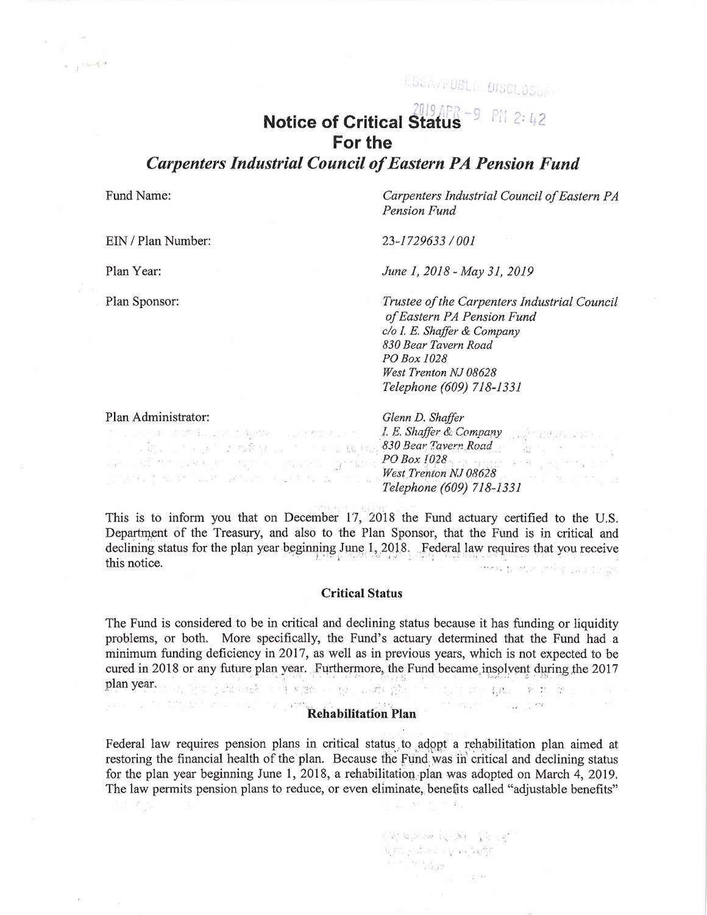LBSA/PUBLIC DISCLOSUE

# *2UJ9 j,;/;* -G **Notice of Critical Status** .)  $PH 2:42$ **For the**

*Carpenters Industrial Council of Eastern PA Pension Fund* 

Fund Name:

 $\mathcal{R} = \int_{\mathbb{R}^d} \frac{1}{2} \, \mathrm{d} \, \mathcal{R} = \int_{\mathbb{R}^d} \frac{1}{2} \, \mathrm{d} \, \mathcal{R}$ 

*Carpenters Industrial Council of Eastern PA Pension Fund* 

EIN / Plan Number:

*23-1729633 I 001* 

Plan Year:

Plan Sponsor:

*June I, 2018- May 31, 2019* 

*Trustee of the Carpenters Industrial Council of Eastern PA Pension Fund c/o I.* E. *Shaffer & Company 830 Bear Tavern Road PO Box 1028 West Trenton NJ 08628 Telephone (609) 718-1331* 

Plan Administrator:

an an albert based in 1988 - a more contact

 $\mathbb{E}\left[\begin{array}{ccccc} \mathbb{E}^{(1)} & \mathbb{E}^{(1)}\mathbb{E}^{(2)} & \mathbb{E}^{(1)}\mathbb{E}^{(1)} & \mathbb{E}^{(2)} & \mathbb{E}^{(1)} & \mathbb{E}^{(1)} & \mathbb{E}^{(1)} & \mathbb{E}^{(1)} & \mathbb{E}^{(1)} & \mathbb{E}^{(1)} & \mathbb{E}^{(1)} & \mathbb{E}^{(1)} & \mathbb{E}^{(1)} & \mathbb{E}^{(1)} & \mathbb{E}^{(1)} & \mathbb{E}^{(1)} & \mathbb{E}^{(1$ 

*Glenn D. Shaffer I. E. Shaffer & Company* .  $V$ .  $\mathcal{S}$ .  $\mathcal{S}$ .  $\mathcal{S}$ .  $\mathcal{S}$ .  $\mathcal{S}$ .  $\mathcal{S}$ . **830 Bear, Tavern Road decay** \_· *['O Box* J028 : , \_- . *West Trenton NJ 08628*   $Telephone (609) 718-1331$ 

This is to inform you that on December 17, 2018 the Fund actuary certified to the U.S. Department of the Treasury, and also to the Plan Sponsor, that the Fund is in critical and declining status for the plan year beginning June 1, 2018. Federal law requires that you receive this notice.  $\mathbb{R}^n$  is the set of  $\mathbb{R}^n$  is the set of  $\mathbb{R}^n$  is a set of  $\mathbb{R}^n$ 

## **Critical Status**

The Fund is considered to be in critical and declining status because it has funding or liquidity problems, or both. More specifically, the Fund's actuary determined that the Fund had a minimum funding deficiency in 2017, as well as in previous years, which is not expected to be cured in 2018 or any future plan year. Furthermore, the Fund became insolvent during the 2017 plan year, the first stational and even the station of the station who seems at

# **Rehabilitation Plan**

Federal law requires pension plans in critical status to adopt a rehabilitation plan aimed at restoring the financial health of the plan. Because the Fund was in critical and declining status for the plan year beginning June 1, 2018, a rehabilitation plan was adopted on March 4, 2019. The law permits pension plans to reduce, or even eliminate, benefits called "adjustable benefits"

> Kama saba (QKA) - 14 NB  $\mathcal{N}_\alpha \mathcal{M}_\alpha^* \rightarrow \mathcal{N}_\alpha \mathcal{M}_\alpha^* \rightarrow \mathcal{N}_\alpha \mathcal{N}_\alpha \mathcal{N}_\alpha^* \mathcal{N}_\alpha^* \mathcal{N}_\alpha^*$  $\label{eq:1.1} \mathcal{F}_{\mathbf{r}}(x) = \mathcal{F}_{\mathbf{r}}(x) + \frac{1}{2} \sum_{i=1}^n \mathcal{F}_{\mathbf{r}}(x)$  $\alpha=\frac{\pi}{2}$  . <br> <br> <br> <br> <br> <br> <br> <br> <br> <br><br><br><br>

 $\mathcal{C} = \mathcal{C} \mathcal{C} \mathcal{C} \mathcal{C} = \mathcal{C} \mathcal{C} \mathcal{C} \mathcal{C} \mathcal{C} \mathcal{C} \mathcal{C} \mathcal{C} \mathcal{C} \mathcal{C} \mathcal{C} \mathcal{C} \mathcal{C} \mathcal{C} \mathcal{C} \mathcal{C} \mathcal{C} \mathcal{C} \mathcal{C} \mathcal{C} \mathcal{C} \mathcal{C} \mathcal{C} \mathcal{C} \mathcal{C} \mathcal{C} \mathcal{C} \mathcal{C} \mathcal{C} \mathcal{C} \mathcal{C} \math$